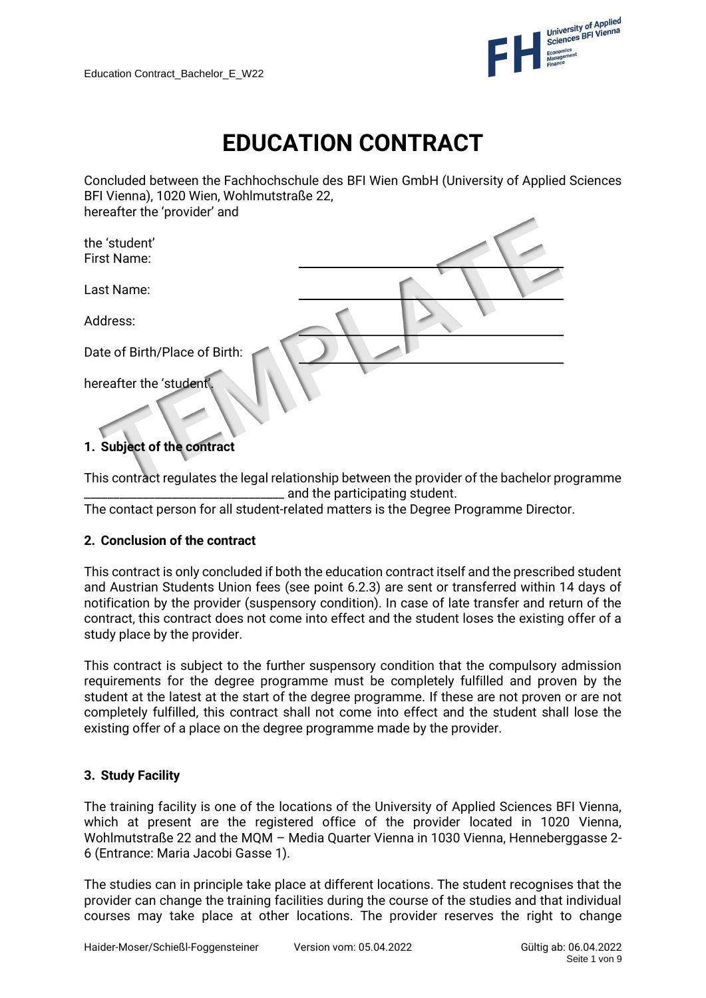

# **EDUCATION CONTRACT**

Concluded between the Fachhochschule des BFI Wien GmbH (University of Applied Sciences BFI Vienna), 1020 Wien, Wohlmutstraße 22, hereafter the 'provider' and

| the 'student'<br>First Name:  |  |
|-------------------------------|--|
| Last Name:                    |  |
| Address:                      |  |
| Date of Birth/Place of Birth: |  |
| hereafter the 'student'.      |  |

# **1. Subject of the contract**

This contract regulates the legal relationship between the provider of the bachelor programme  $\_$  and the participating student.

The contact person for all student-related matters is the Degree Programme Director.

# **2. Conclusion of the contract**

This contract is only concluded if both the education contract itself and the prescribed student and Austrian Students Union fees (see point 6.2.3) are sent or transferred within 14 days of notification by the provider (suspensory condition). In case of late transfer and return of the contract, this contract does not come into effect and the student loses the existing offer of a study place by the provider.

This contract is subject to the further suspensory condition that the compulsory admission requirements for the degree programme must be completely fulfilled and proven by the student at the latest at the start of the degree programme. If these are not proven or are not completely fulfilled, this contract shall not come into effect and the student shall lose the existing offer of a place on the degree programme made by the provider.

# **3. Study Facility**

The training facility is one of the locations of the University of Applied Sciences BFI Vienna, which at present are the registered office of the provider located in 1020 Vienna, Wohlmutstraße 22 and the MQM – Media Quarter Vienna in 1030 Vienna, Henneberggasse 2- 6 (Entrance: Maria Jacobi Gasse 1).

The studies can in principle take place at different locations. The student recognises that the provider can change the training facilities during the course of the studies and that individual courses may take place at other locations. The provider reserves the right to change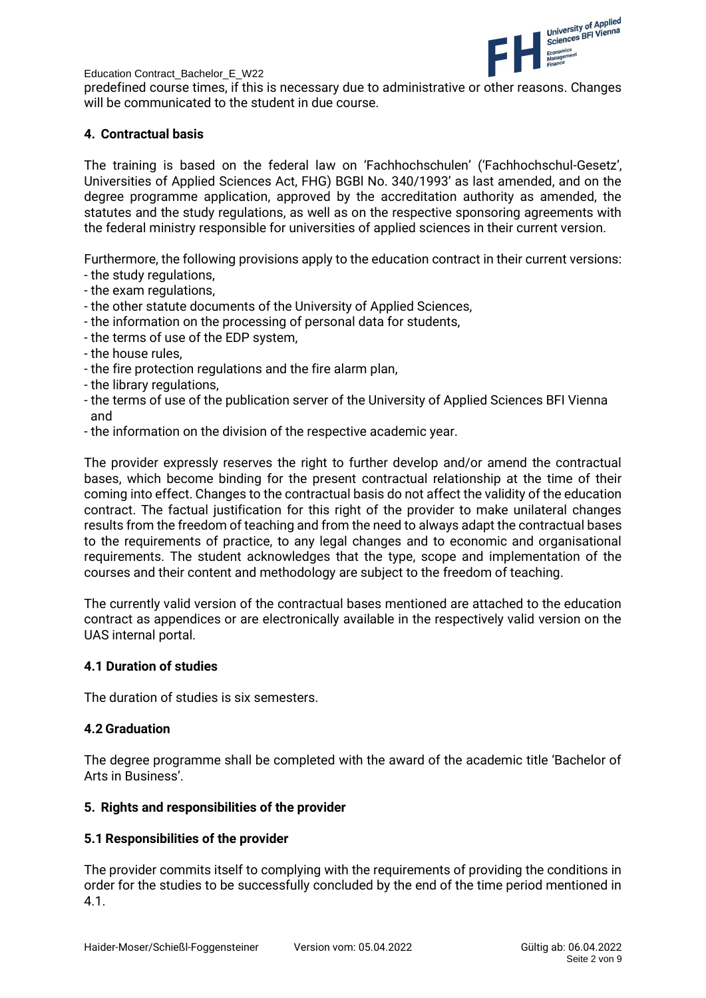

predefined course times, if this is necessary due to administrative or other reasons. Changes will be communicated to the student in due course.

# **4. Contractual basis**

The training is based on the federal law on 'Fachhochschulen' ('Fachhochschul-Gesetz', Universities of Applied Sciences Act, FHG) BGBl No. 340/1993' as last amended, and on the degree programme application, approved by the accreditation authority as amended, the statutes and the study regulations, as well as on the respective sponsoring agreements with the federal ministry responsible for universities of applied sciences in their current version.

Furthermore, the following provisions apply to the education contract in their current versions:

- the study regulations,
- the exam regulations,
- the other statute documents of the University of Applied Sciences,
- the information on the processing of personal data for students,
- the terms of use of the EDP system,
- the house rules,
- the fire protection regulations and the fire alarm plan,
- the library regulations,
- the terms of use of the publication server of the University of Applied Sciences BFI Vienna and
- the information on the division of the respective academic year.

The provider expressly reserves the right to further develop and/or amend the contractual bases, which become binding for the present contractual relationship at the time of their coming into effect. Changes to the contractual basis do not affect the validity of the education contract. The factual justification for this right of the provider to make unilateral changes results from the freedom of teaching and from the need to always adapt the contractual bases to the requirements of practice, to any legal changes and to economic and organisational requirements. The student acknowledges that the type, scope and implementation of the courses and their content and methodology are subject to the freedom of teaching.

The currently valid version of the contractual bases mentioned are attached to the education contract as appendices or are electronically available in the respectively valid version on the UAS internal portal.

# **4.1 Duration of studies**

The duration of studies is six semesters.

# **4.2 Graduation**

The degree programme shall be completed with the award of the academic title 'Bachelor of Arts in Business'.

# **5. Rights and responsibilities of the provider**

# **5.1 Responsibilities of the provider**

The provider commits itself to complying with the requirements of providing the conditions in order for the studies to be successfully concluded by the end of the time period mentioned in 4.1.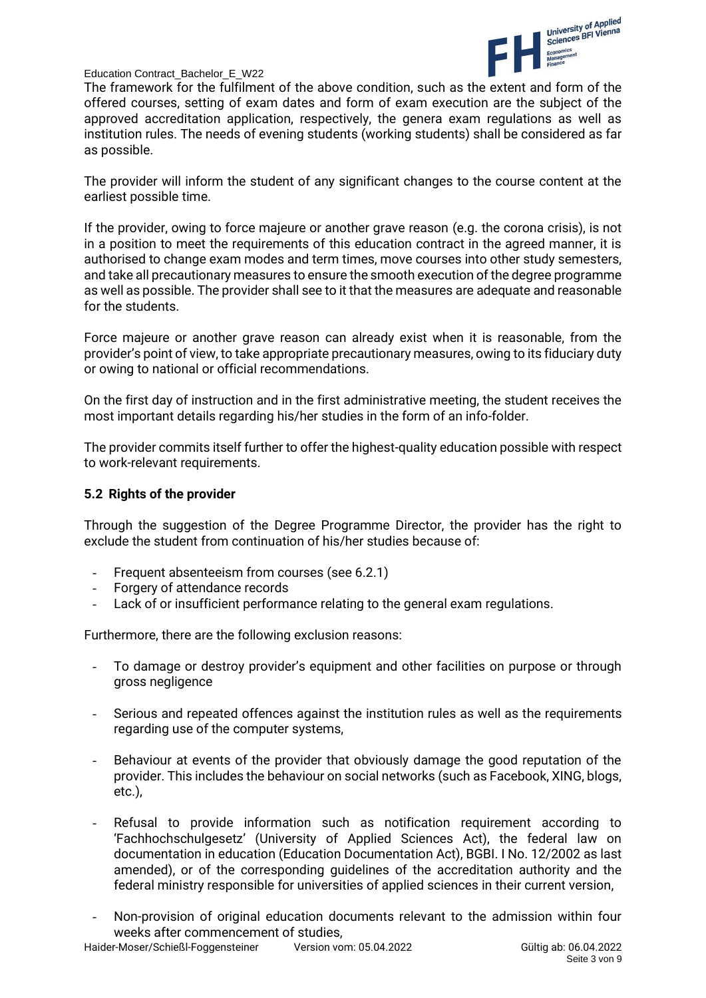

The framework for the fulfilment of the above condition, such as the extent and form of the offered courses, setting of exam dates and form of exam execution are the subject of the approved accreditation application, respectively, the genera exam regulations as well as institution rules. The needs of evening students (working students) shall be considered as far as possible.

The provider will inform the student of any significant changes to the course content at the earliest possible time.

If the provider, owing to force majeure or another grave reason (e.g. the corona crisis), is not in a position to meet the requirements of this education contract in the agreed manner, it is authorised to change exam modes and term times, move courses into other study semesters, and take all precautionary measures to ensure the smooth execution of the degree programme as well as possible. The provider shall see to it that the measures are adequate and reasonable for the students.

Force majeure or another grave reason can already exist when it is reasonable, from the provider's point of view, to take appropriate precautionary measures, owing to its fiduciary duty or owing to national or official recommendations.

On the first day of instruction and in the first administrative meeting, the student receives the most important details regarding his/her studies in the form of an info-folder.

The provider commits itself further to offer the highest-quality education possible with respect to work-relevant requirements.

#### **5.2 Rights of the provider**

Through the suggestion of the Degree Programme Director, the provider has the right to exclude the student from continuation of his/her studies because of:

- Frequent absenteeism from courses (see 6.2.1)
- Forgery of attendance records
- Lack of or insufficient performance relating to the general exam regulations.

Furthermore, there are the following exclusion reasons:

- To damage or destroy provider's equipment and other facilities on purpose or through gross negligence
- Serious and repeated offences against the institution rules as well as the requirements regarding use of the computer systems,
- Behaviour at events of the provider that obviously damage the good reputation of the provider. This includes the behaviour on social networks (such as Facebook, XING, blogs, etc.),
- Refusal to provide information such as notification requirement according to 'Fachhochschulgesetz' (University of Applied Sciences Act), the federal law on documentation in education (Education Documentation Act), BGBI. I No. 12/2002 as last amended), or of the corresponding guidelines of the accreditation authority and the federal ministry responsible for universities of applied sciences in their current version,
- Non-provision of original education documents relevant to the admission within four weeks after commencement of studies,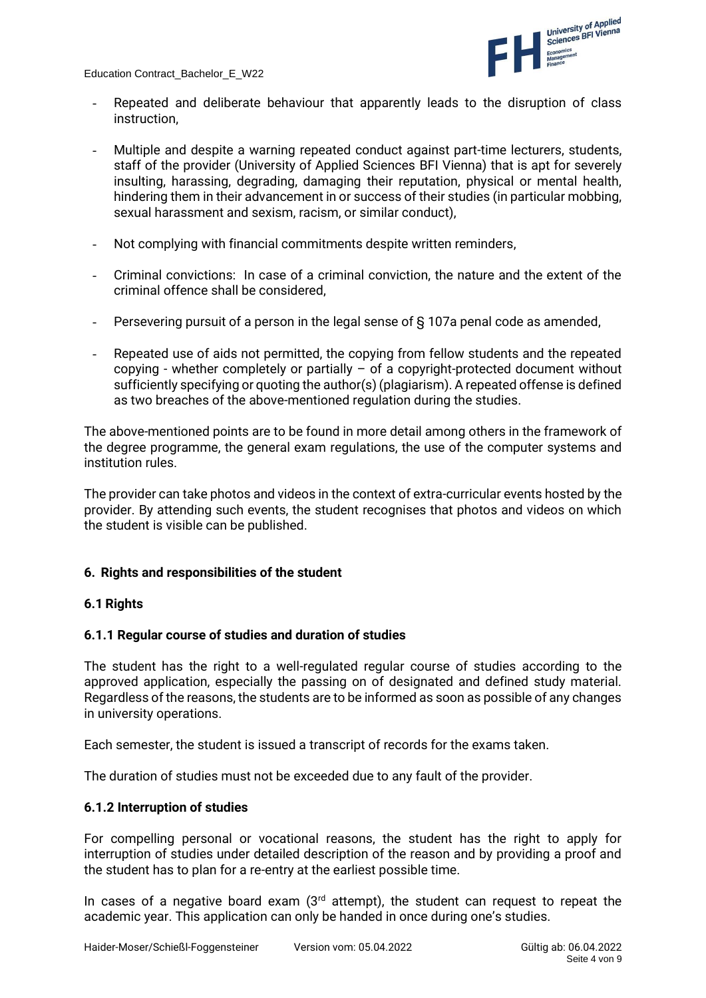

- Repeated and deliberate behaviour that apparently leads to the disruption of class instruction,
- Multiple and despite a warning repeated conduct against part-time lecturers, students, staff of the provider (University of Applied Sciences BFI Vienna) that is apt for severely insulting, harassing, degrading, damaging their reputation, physical or mental health, hindering them in their advancement in or success of their studies (in particular mobbing, sexual harassment and sexism, racism, or similar conduct),
- Not complying with financial commitments despite written reminders,
- Criminal convictions: In case of a criminal conviction, the nature and the extent of the criminal offence shall be considered,
- Persevering pursuit of a person in the legal sense of § 107a penal code as amended,
- Repeated use of aids not permitted, the copying from fellow students and the repeated copying - whether completely or partially  $-$  of a copyright-protected document without sufficiently specifying or quoting the author(s) (plagiarism). A repeated offense is defined as two breaches of the above-mentioned regulation during the studies.

The above-mentioned points are to be found in more detail among others in the framework of the degree programme, the general exam regulations, the use of the computer systems and institution rules.

The provider can take photos and videos in the context of extra-curricular events hosted by the provider. By attending such events, the student recognises that photos and videos on which the student is visible can be published.

# **6. Rights and responsibilities of the student**

# **6.1 Rights**

# **6.1.1 Regular course of studies and duration of studies**

The student has the right to a well-regulated regular course of studies according to the approved application, especially the passing on of designated and defined study material. Regardless of the reasons, the students are to be informed as soon as possible of any changes in university operations.

Each semester, the student is issued a transcript of records for the exams taken.

The duration of studies must not be exceeded due to any fault of the provider.

# **6.1.2 Interruption of studies**

For compelling personal or vocational reasons, the student has the right to apply for interruption of studies under detailed description of the reason and by providing a proof and the student has to plan for a re-entry at the earliest possible time.

In cases of a negative board exam  $(3<sup>rd</sup>$  attempt), the student can request to repeat the academic year. This application can only be handed in once during one's studies.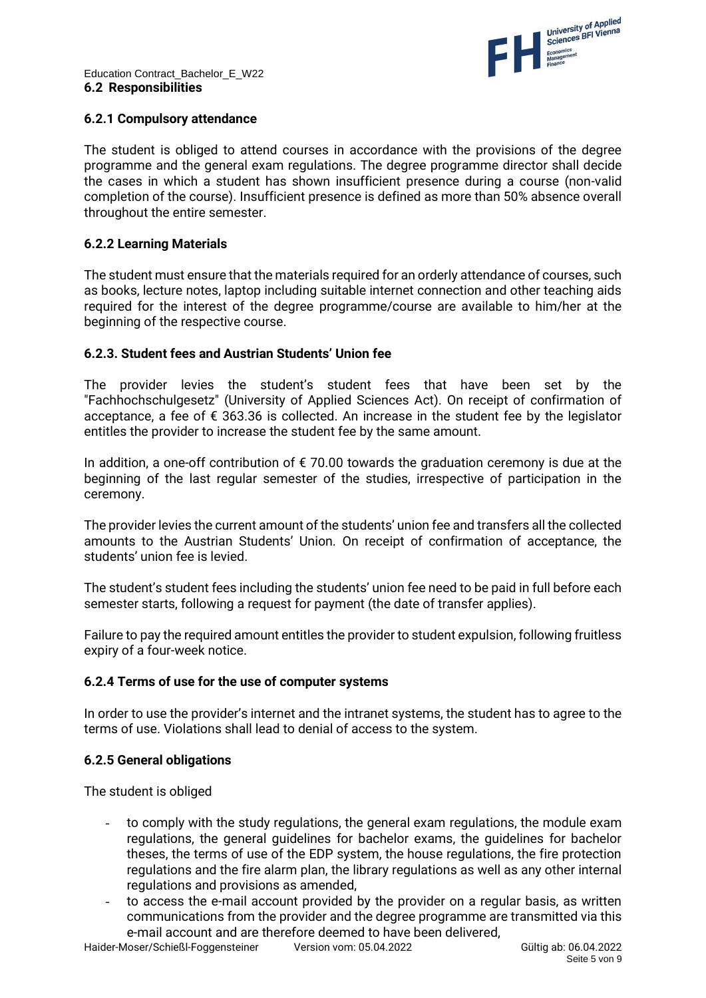

# **6.2.1 Compulsory attendance**

The student is obliged to attend courses in accordance with the provisions of the degree programme and the general exam regulations. The degree programme director shall decide the cases in which a student has shown insufficient presence during a course (non-valid completion of the course). Insufficient presence is defined as more than 50% absence overall throughout the entire semester.

# **6.2.2 Learning Materials**

The student must ensure that the materials required for an orderly attendance of courses, such as books, lecture notes, laptop including suitable internet connection and other teaching aids required for the interest of the degree programme/course are available to him/her at the beginning of the respective course.

# **6.2.3. Student fees and Austrian Students' Union fee**

The provider levies the student's student fees that have been set by the "Fachhochschulgesetz" (University of Applied Sciences Act). On receipt of confirmation of acceptance, a fee of  $\epsilon$  363.36 is collected. An increase in the student fee by the legislator entitles the provider to increase the student fee by the same amount.

In addition, a one-off contribution of  $\epsilon$  70.00 towards the graduation ceremony is due at the beginning of the last regular semester of the studies, irrespective of participation in the ceremony.

The provider levies the current amount of the students' union fee and transfers all the collected amounts to the Austrian Students' Union. On receipt of confirmation of acceptance, the students' union fee is levied.

The student's student fees including the students' union fee need to be paid in full before each semester starts, following a request for payment (the date of transfer applies).

Failure to pay the required amount entitles the provider to student expulsion, following fruitless expiry of a four-week notice.

# **6.2.4 Terms of use for the use of computer systems**

In order to use the provider's internet and the intranet systems, the student has to agree to the terms of use. Violations shall lead to denial of access to the system.

# **6.2.5 General obligations**

The student is obliged

- to comply with the study regulations, the general exam regulations, the module exam regulations, the general guidelines for bachelor exams, the guidelines for bachelor theses, the terms of use of the EDP system, the house regulations, the fire protection regulations and the fire alarm plan, the library regulations as well as any other internal regulations and provisions as amended,
- to access the e-mail account provided by the provider on a regular basis, as written communications from the provider and the degree programme are transmitted via this e-mail account and are therefore deemed to have been delivered,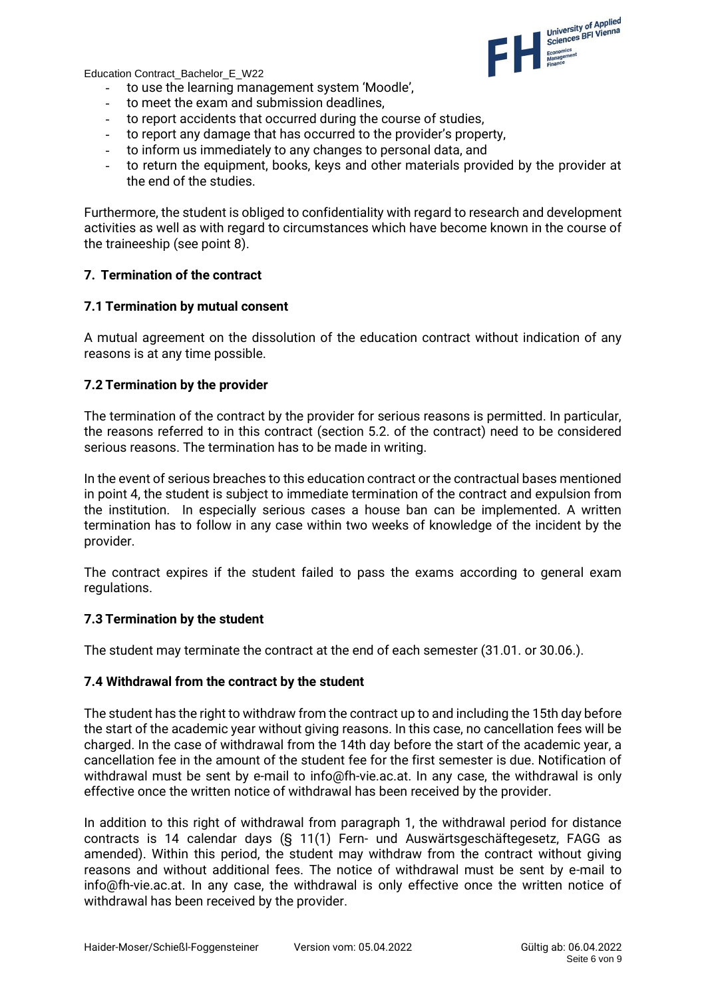

- to use the learning management system 'Moodle',
- to meet the exam and submission deadlines,
- to report accidents that occurred during the course of studies,
- to report any damage that has occurred to the provider's property,
- to inform us immediately to any changes to personal data, and
- to return the equipment, books, keys and other materials provided by the provider at the end of the studies.

Furthermore, the student is obliged to confidentiality with regard to research and development activities as well as with regard to circumstances which have become known in the course of the traineeship (see point 8).

#### **7. Termination of the contract**

#### **7.1 Termination by mutual consent**

A mutual agreement on the dissolution of the education contract without indication of any reasons is at any time possible.

#### **7.2 Termination by the provider**

The termination of the contract by the provider for serious reasons is permitted. In particular, the reasons referred to in this contract (section 5.2. of the contract) need to be considered serious reasons. The termination has to be made in writing.

In the event of serious breaches to this education contract or the contractual bases mentioned in point 4, the student is subject to immediate termination of the contract and expulsion from the institution. In especially serious cases a house ban can be implemented. A written termination has to follow in any case within two weeks of knowledge of the incident by the provider.

The contract expires if the student failed to pass the exams according to general exam regulations.

#### **7.3 Termination by the student**

The student may terminate the contract at the end of each semester (31.01. or 30.06.).

#### **7.4 Withdrawal from the contract by the student**

The student has the right to withdraw from the contract up to and including the 15th day before the start of the academic year without giving reasons. In this case, no cancellation fees will be charged. In the case of withdrawal from the 14th day before the start of the academic year, a cancellation fee in the amount of the student fee for the first semester is due. Notification of withdrawal must be sent by e-mail to info@fh-vie.ac.at. In any case, the withdrawal is only effective once the written notice of withdrawal has been received by the provider.

In addition to this right of withdrawal from paragraph 1, the withdrawal period for distance contracts is 14 calendar days (§ 11(1) Fern- und Auswärtsgeschäftegesetz, FAGG as amended). Within this period, the student may withdraw from the contract without giving reasons and without additional fees. The notice of withdrawal must be sent by e-mail to info@fh-vie.ac.at. In any case, the withdrawal is only effective once the written notice of withdrawal has been received by the provider.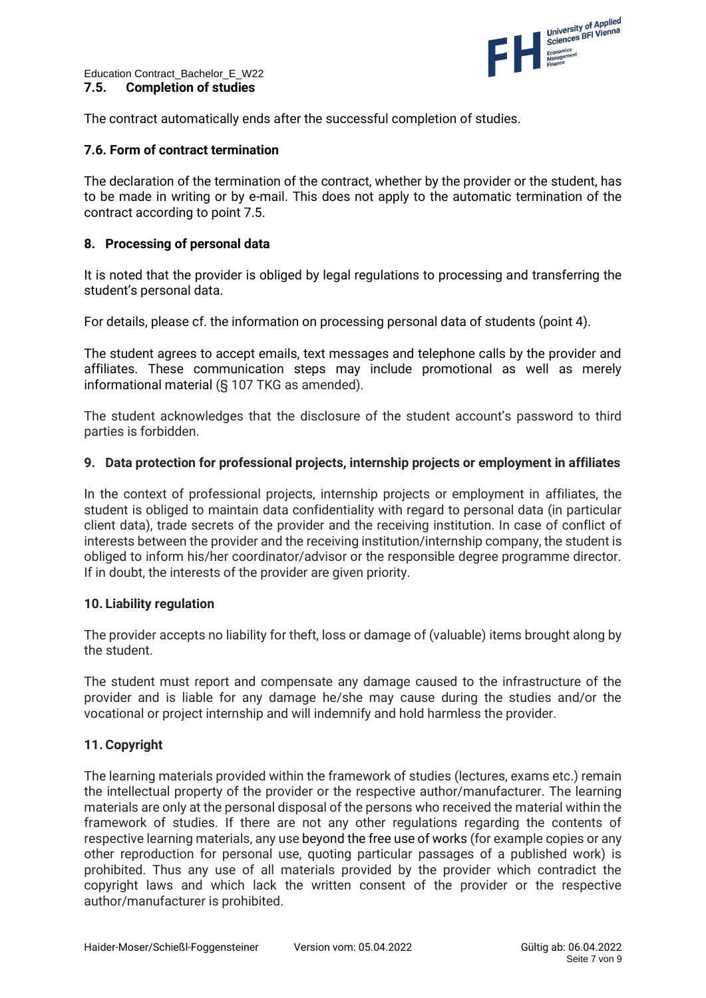

The contract automatically ends after the successful completion of studies.

# **7.6. Form of contract termination**

The declaration of the termination of the contract, whether by the provider or the student, has to be made in writing or by e-mail. This does not apply to the automatic termination of the contract according to point 7.5.

# **8. Processing of personal data**

It is noted that the provider is obliged by legal regulations to processing and transferring the student's personal data.

For details, please cf. the information on processing personal data of students (point 4).

The student agrees to accept emails, text messages and telephone calls by the provider and affiliates. These communication steps may include promotional as well as merely informational material (§ 107 TKG as amended).

The student acknowledges that the disclosure of the student account's password to third parties is forbidden.

#### **9. Data protection for professional projects, internship projects or employment in affiliates**

In the context of professional projects, internship projects or employment in affiliates, the student is obliged to maintain data confidentiality with regard to personal data (in particular client data), trade secrets of the provider and the receiving institution. In case of conflict of interests between the provider and the receiving institution/internship company, the student is obliged to inform his/her coordinator/advisor or the responsible degree programme director. If in doubt, the interests of the provider are given priority.

# **10. Liability regulation**

The provider accepts no liability for theft, loss or damage of (valuable) items brought along by the student.

The student must report and compensate any damage caused to the infrastructure of the provider and is liable for any damage he/she may cause during the studies and/or the vocational or project internship and will indemnify and hold harmless the provider.

# **11. Copyright**

The learning materials provided within the framework of studies (lectures, exams etc.) remain the intellectual property of the provider or the respective author/manufacturer. The learning materials are only at the personal disposal of the persons who received the material within the framework of studies. If there are not any other regulations regarding the contents of respective learning materials, any use beyond the free use of works (for example copies or any other reproduction for personal use, quoting particular passages of a published work) is prohibited. Thus any use of all materials provided by the provider which contradict the copyright laws and which lack the written consent of the provider or the respective author/manufacturer is prohibited.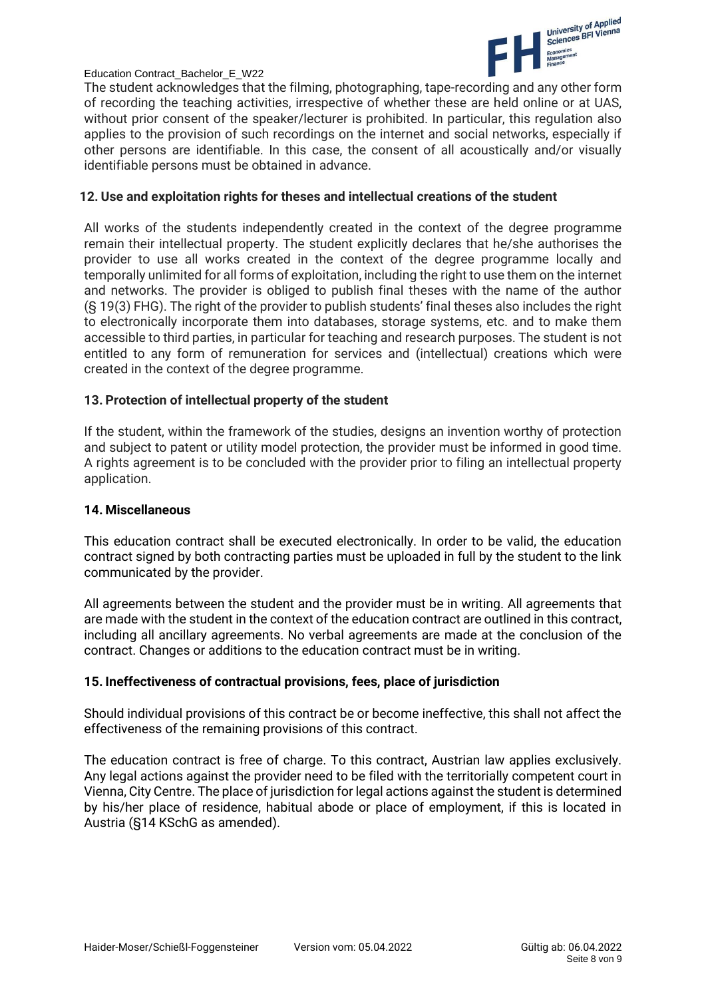

The student acknowledges that the filming, photographing, tape-recording and any other form of recording the teaching activities, irrespective of whether these are held online or at UAS, without prior consent of the speaker/lecturer is prohibited. In particular, this regulation also applies to the provision of such recordings on the internet and social networks, especially if other persons are identifiable. In this case, the consent of all acoustically and/or visually identifiable persons must be obtained in advance.

#### **12. Use and exploitation rights for theses and intellectual creations of the student**

All works of the students independently created in the context of the degree programme remain their intellectual property. The student explicitly declares that he/she authorises the provider to use all works created in the context of the degree programme locally and temporally unlimited for all forms of exploitation, including the right to use them on the internet and networks. The provider is obliged to publish final theses with the name of the author (§ 19(3) FHG). The right of the provider to publish students' final theses also includes the right to electronically incorporate them into databases, storage systems, etc. and to make them accessible to third parties, in particular for teaching and research purposes. The student is not entitled to any form of remuneration for services and (intellectual) creations which were created in the context of the degree programme.

# **13. Protection of intellectual property of the student**

If the student, within the framework of the studies, designs an invention worthy of protection and subject to patent or utility model protection, the provider must be informed in good time. A rights agreement is to be concluded with the provider prior to filing an intellectual property application.

#### **14. Miscellaneous**

This education contract shall be executed electronically. In order to be valid, the education contract signed by both contracting parties must be uploaded in full by the student to the link communicated by the provider.

All agreements between the student and the provider must be in writing. All agreements that are made with the student in the context of the education contract are outlined in this contract, including all ancillary agreements. No verbal agreements are made at the conclusion of the contract. Changes or additions to the education contract must be in writing.

# **15. Ineffectiveness of contractual provisions, fees, place of jurisdiction**

Should individual provisions of this contract be or become ineffective, this shall not affect the effectiveness of the remaining provisions of this contract.

The education contract is free of charge. To this contract, Austrian law applies exclusively. Any legal actions against the provider need to be filed with the territorially competent court in Vienna, City Centre. The place of jurisdiction for legal actions against the student is determined by his/her place of residence, habitual abode or place of employment, if this is located in Austria (§14 KSchG as amended).